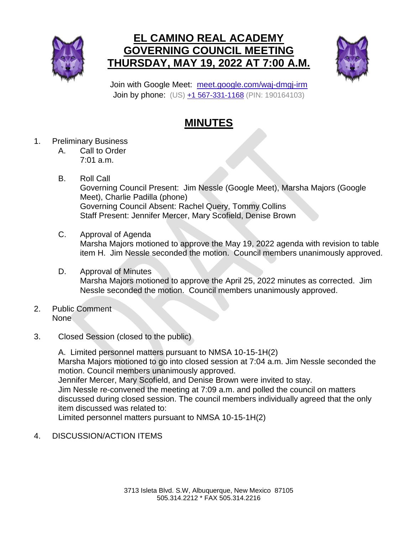

## **EL CAMINO REAL ACADEMY GOVERNING COUNCIL MEETING THURSDAY, MAY 19, 2022 AT 7:00 A.M.**



Join with Google Meet: [meet.google.com/waj-dmgj-irm](https://meet.google.com/waj-dmgj-irm?hs=224) Join by phone: (US) [+1 567-331-1168](tel:+1-567-331-1168%3B190164103%23) (PIN: 190164103)

## **MINUTES**

- 1. Preliminary Business
	- A. Call to Order 7:01 a.m.
	- B. Roll Call Governing Council Present: Jim Nessle (Google Meet), Marsha Majors (Google Meet), Charlie Padilla (phone) Governing Council Absent: Rachel Query, Tommy Collins Staff Present: Jennifer Mercer, Mary Scofield, Denise Brown
	- C. Approval of Agenda Marsha Majors motioned to approve the May 19, 2022 agenda with revision to table item H. Jim Nessle seconded the motion. Council members unanimously approved.
	- D. Approval of Minutes Marsha Majors motioned to approve the April 25, 2022 minutes as corrected. Jim Nessle seconded the motion. Council members unanimously approved.
- 2. Public Comment None
- 3. Closed Session (closed to the public)

A. Limited personnel matters pursuant to NMSA 10-15-1H(2) Marsha Majors motioned to go into closed session at 7:04 a.m. Jim Nessle seconded the motion. Council members unanimously approved. Jennifer Mercer, Mary Scofield, and Denise Brown were invited to stay. Jim Nessle re-convened the meeting at 7:09 a.m. and polled the council on matters discussed during closed session. The council members individually agreed that the only item discussed was related to: Limited personnel matters pursuant to NMSA 10-15-1H(2)

4. DISCUSSION/ACTION ITEMS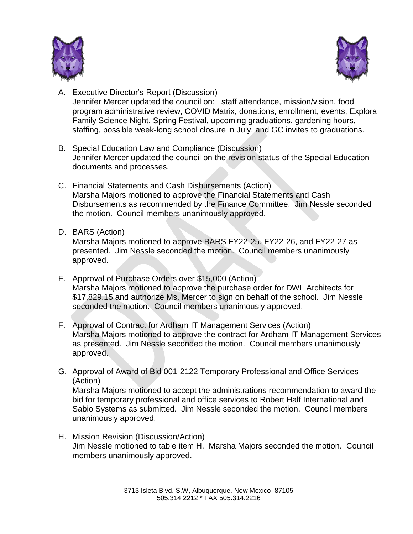



- A. Executive Director's Report (Discussion) Jennifer Mercer updated the council on: staff attendance, mission/vision, food program administrative review, COVID Matrix, donations, enrollment, events, Explora Family Science Night, Spring Festival, upcoming graduations, gardening hours, staffing, possible week-long school closure in July, and GC invites to graduations.
- B. Special Education Law and Compliance (Discussion) Jennifer Mercer updated the council on the revision status of the Special Education documents and processes.
- C. Financial Statements and Cash Disbursements (Action) Marsha Majors motioned to approve the Financial Statements and Cash Disbursements as recommended by the Finance Committee. Jim Nessle seconded the motion. Council members unanimously approved.
- D. BARS (Action)

Marsha Majors motioned to approve BARS FY22-25, FY22-26, and FY22-27 as presented. Jim Nessle seconded the motion. Council members unanimously approved.

- E. Approval of Purchase Orders over \$15,000 (Action) Marsha Majors motioned to approve the purchase order for DWL Architects for \$17,829.15 and authorize Ms. Mercer to sign on behalf of the school. Jim Nessle seconded the motion. Council members unanimously approved.
- F. Approval of Contract for Ardham IT Management Services (Action) Marsha Majors motioned to approve the contract for Ardham IT Management Services as presented. Jim Nessle seconded the motion. Council members unanimously approved.
- G. Approval of Award of Bid 001-2122 Temporary Professional and Office Services (Action)

Marsha Majors motioned to accept the administrations recommendation to award the bid for temporary professional and office services to Robert Half International and Sabio Systems as submitted. Jim Nessle seconded the motion. Council members unanimously approved.

H. Mission Revision (Discussion/Action) Jim Nessle motioned to table item H. Marsha Majors seconded the motion. Council members unanimously approved.